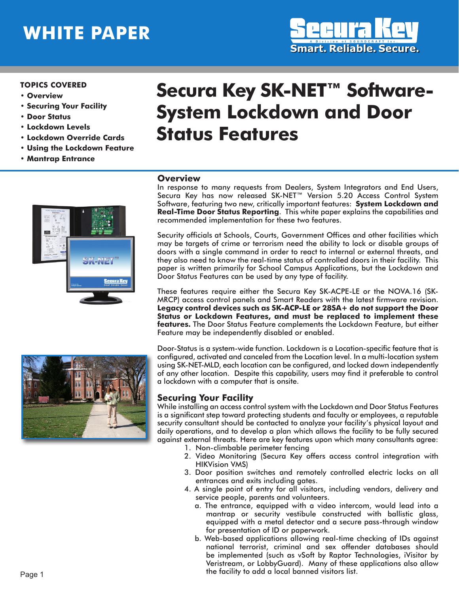# **WHITE PAPER**



#### **TOPICS COVERED**

- • **Overview**
- **Securing Your Facility**
- • **Door Status**
- • **Lockdown Levels**
- • **Lockdown Override Cards**
- **Using the Lockdown Feature**
- **Mantrap Entrance**

# **Secura Key SK-NET™ Software-System Lockdown and Door Status Features**

#### **Overview**

In response to many requests from Dealers, System Integrators and End Users, Secura Key has now released SK-NET™ Version 5.20 Access Control System Software, featuring two new, critically important features: **System Lockdown and Real-Time Door Status Reporting**. This white paper explains the capabilities and recommended implementation for these two features.

Security officials at Schools, Courts, Government Offices and other facilities which may be targets of crime or terrorism need the ability to lock or disable groups of doors with a single command in order to react to internal or external threats, and they also need to know the real-time status of controlled doors in their facility. This paper is written primarily for School Campus Applications, but the Lockdown and Door Status Features can be used by any type of facility.

These features require either the Secura Key SK-ACPE-LE or the NOVA.16 (SK-MRCP) access control panels and Smart Readers with the latest firmware revision. **Legacy control devices such as SK-ACP-LE or 28SA+ do not support the Door Status or Lockdown Features, and must be replaced to implement these features.** The Door Status Feature complements the Lockdown Feature, but either Feature may be independently disabled or enabled.

Door-Status is a system-wide function. Lockdown is a Location-specific feature that is configured, activated and canceled from the Location level. In a multi-location system using SK-NET-MLD, each location can be configured, and locked down independently of any other location. Despite this capability, users may find it preferable to control a lockdown with a computer that is onsite.

#### **Securing Your Facility**

While installing an access control system with the Lockdown and Door Status Features is a significant step toward protecting students and faculty or employees, a reputable security consultant should be contacted to analyze your facility's physical layout and daily operations, and to develop a plan which allows the facility to be fully secured against external threats. Here are key features upon which many consultants agree:

- 1. Non-climbable perimeter fencing
- 2. Video Monitoring (Secura Key offers access control integration with HIKVision VMS)
- 3. Door position switches and remotely controlled electric locks on all entrances and exits including gates.
- 4. A single point of entry for all visitors, including vendors, delivery and service people, parents and volunteers.
	- a. The entrance, equipped with a video intercom, would lead into a mantrap or security vestibule constructed with ballistic glass, equipped with a metal detector and a secure pass-through window for presentation of ID or paperwork.
	- b. Web-based applications allowing real-time checking of IDs against national terrorist, criminal and sex offender databases should be implemented (such as vSoft by Raptor Technologies, iVisitor by Veristream, or LobbyGuard). Many of these applications also allow the facility to add a local banned visitors list.



ecura K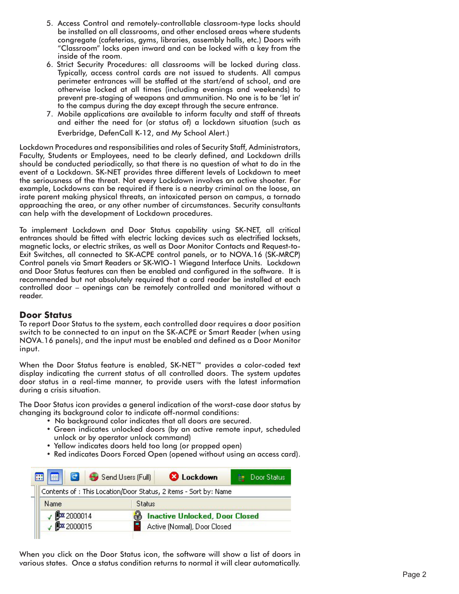- 5. Access Control and remotely-controllable classroom-type locks should be installed on all classrooms, and other enclosed areas where students congregate (cafeterias, gyms, libraries, assembly halls, etc.) Doors with "Classroom" locks open inward and can be locked with a key from the inside of the room.
- 6. Strict Security Procedures: all classrooms will be locked during class. Typically, access control cards are not issued to students. All campus perimeter entrances will be staffed at the start/end of school, and are otherwise locked at all times (including evenings and weekends) to prevent pre-staging of weapons and ammunition. No one is to be 'let in' to the campus during the day except through the secure entrance.
- 7. Mobile applications are available to inform faculty and staff of threats and either the need for (or status of) a lockdown situation (such as Everbridge, DefenCall K-12, and My School Alert.)

Lockdown Procedures and responsibilities and roles of Security Staff, Administrators, Faculty, Students or Employees, need to be clearly defined, and Lockdown drills should be conducted periodically, so that there is no question of what to do in the event of a Lockdown. SK-NET provides three different levels of Lockdown to meet the seriousness of the threat. Not every Lockdown involves an active shooter. For example, Lockdowns can be required if there is a nearby criminal on the loose, an irate parent making physical threats, an intoxicated person on campus, a tornado approaching the area, or any other number of circumstances. Security consultants can help with the development of Lockdown procedures.

To implement Lockdown and Door Status capability using SK-NET, all critical entrances should be fitted with electric locking devices such as electrified locksets, magnetic locks, or electric strikes, as well as Door Monitor Contacts and Request-to-Exit Switches, all connected to SK-ACPE control panels, or to NOVA.16 (SK-MRCP) Control panels via Smart Readers or SK-WIO-1 Wiegand Interface Units. Lockdown and Door Status features can then be enabled and configured in the software. It is recommended but not absolutely required that a card reader be installed at each controlled door – openings can be remotely controlled and monitored without a reader.

#### **Door Status**

To report Door Status to the system, each controlled door requires a door position switch to be connected to an input on the SK-ACPE or Smart Reader (when using NOVA.16 panels), and the input must be enabled and defined as a Door Monitor input.

When the Door Status feature is enabled, SK-NET™ provides a color-coded text display indicating the current status of all controlled doors. The system updates door status in a real-time manner, to provide users with the latest information during a crisis situation.

The Door Status icon provides a general indication of the worst-case door status by changing its background color to indicate off-normal conditions:

- No background color indicates that all doors are secured.
- Green indicates unlocked doors (by an active remote input, scheduled unlock or by operator unlock command)
- Yellow indicates doors held too long (or propped open)
- Red indicates Doors Forced Open (opened without using an access card).

|               | <b>C</b> Lockdown | Door Status                                                                                                                               |
|---------------|-------------------|-------------------------------------------------------------------------------------------------------------------------------------------|
|               |                   |                                                                                                                                           |
| <b>Status</b> |                   |                                                                                                                                           |
|               |                   |                                                                                                                                           |
|               |                   |                                                                                                                                           |
|               | Send Users (Full) | Contents of : This Location/Door Status, 2 items - Sort by: Name<br><b>Inactive Unlocked, Door Closed</b><br>Active (Normal), Door Closed |

When you click on the Door Status icon, the software will show a list of doors in various states. Once a status condition returns to normal it will clear automatically.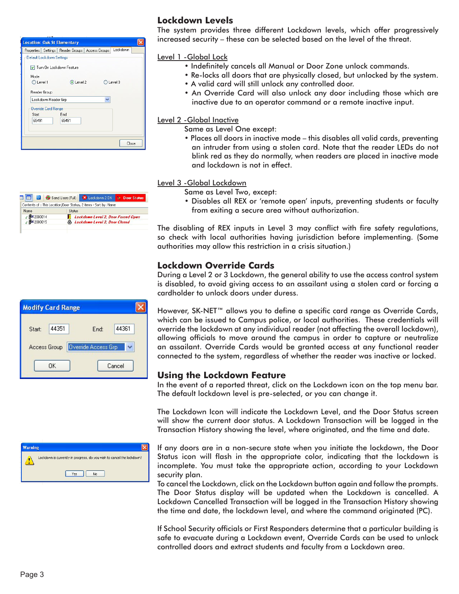|                                     | Properties   Settings   Reader Groups   Access Groups   Lockdown |   |         |
|-------------------------------------|------------------------------------------------------------------|---|---------|
| Default Lockdown Settings           |                                                                  |   |         |
| Turn On Lockdown Feature            |                                                                  |   |         |
| Mode                                |                                                                  |   |         |
| C Level 1                           | C Level 2                                                        |   | Level 3 |
| Reader Group<br>Lockdown Reader Grp |                                                                  | v |         |
| <b>Override Card Range</b>          |                                                                  |   |         |
| Start                               | End                                                              |   |         |
| 65491                               | 65491                                                            |   |         |
|                                     |                                                                  |   |         |
|                                     |                                                                  |   |         |
|                                     |                                                                  |   | Close   |



|        | <b>Modify Card Range</b> |                     |       |
|--------|--------------------------|---------------------|-------|
| Start: | 44351                    | End:                | 44361 |
|        | Access Group             | Override Access Grp |       |

# **Lockdown Levels**

The system provides three different Lockdown levels, which offer progressively increased security – these can be selected based on the level of the threat.

Level 1 -Global Lock

- Indefinitely cancels all Manual or Door Zone unlock commands.
- Re-locks all doors that are physically closed, but unlocked by the system. • A valid card will still unlock any controlled door.
- An Override Card will also unlock any door including those which are inactive due to an operator command or a remote inactive input.

Level 2 - Global Inactive

Same as Level One except:

• Places all doors in inactive mode – this disables all valid cards, preventing an intruder from using a stolen card. Note that the reader LEDs do not blink red as they do normally, when readers are placed in inactive mode and lockdown is not in effect.

Level 3 -Global Lockdown

Same as Level Two, except:

• Disables all REX or 'remote open' inputs, preventing students or faculty from exiting a secure area without authorization.

The disabling of REX inputs in Level 3 may conflict with fire safety regulations, so check with local authorities having jurisdiction before implementing. (Some authorities may allow this restriction in a crisis situation.)

## **Lockdown Override Cards**

During a Level 2 or 3 Lockdown, the general ability to use the access control system is disabled, to avoid giving access to an assailant using a stolen card or forcing a cardholder to unlock doors under duress.

However, SK-NET™ allows you to define a specific card range as Override Cards, which can be issued to Campus police, or local authorities. These credentials will override the lockdown at any individual reader (not affecting the overall lockdown), allowing officials to move around the campus in order to capture or neutralize an assailant. Override Cards would be granted access at any functional reader connected to the system, regardless of whether the reader was inactive or locked.

### **Using the Lockdown Feature**

In the event of a reported threat, click on the Lockdown icon on the top menu bar. The default lockdown level is pre-selected, or you can change it.

The Lockdown Icon will indicate the Lockdown Level, and the Door Status screen will show the current door status. A Lockdown Transaction will be logged in the Transaction History showing the level, where originated, and the time and date.

If any doors are in a non-secure state when you initiate the lockdown, the Door Status icon will flash in the appropriate color, indicating that the lockdown is incomplete. You must take the appropriate action, according to your Lockdown security plan.

To cancel the Lockdown, click on the Lockdown button again and follow the prompts. The Door Status display will be updated when the Lockdown is cancelled. A Lockdown Cancelled Transaction will be logged in the Transaction History showing the time and date, the lockdown level, and where the command originated (PC).

If School Security officials or First Responders determine that a particular building is safe to evacuate during a Lockdown event, Override Cards can be used to unlock controlled doors and extract students and faculty from a Lockdown area.

| <b>Warning</b> |                                                                        |
|----------------|------------------------------------------------------------------------|
|                | Lockdown is currently in progress, do you wish to cancel the lockdown? |
|                | No<br>Yes                                                              |